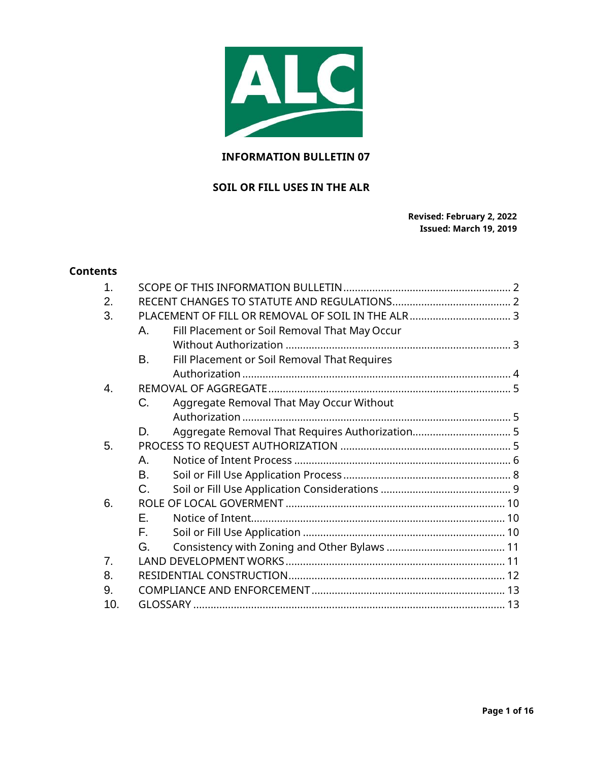

# **INFORMATION BULLETIN 07**

# **SOIL OR FILL USES IN THE ALR**

**Revised: February 2, 2022 Issued: March 19, 2019**

### **Contents**

| $\mathbf 1$ |                                                     |  |
|-------------|-----------------------------------------------------|--|
| 2.          |                                                     |  |
| 3.          |                                                     |  |
|             | Fill Placement or Soil Removal That May Occur<br>А. |  |
|             |                                                     |  |
|             | В.<br>Fill Placement or Soil Removal That Requires  |  |
|             |                                                     |  |
| 4.          |                                                     |  |
|             | C.<br>Aggregate Removal That May Occur Without      |  |
|             |                                                     |  |
|             | D.                                                  |  |
| 5.          |                                                     |  |
|             | Α.                                                  |  |
|             | В.                                                  |  |
|             | C.                                                  |  |
| 6.          |                                                     |  |
|             | Е.                                                  |  |
|             | F.                                                  |  |
|             | G.                                                  |  |
| 7.          |                                                     |  |
| 8.          |                                                     |  |
| 9.          |                                                     |  |
| 10.         |                                                     |  |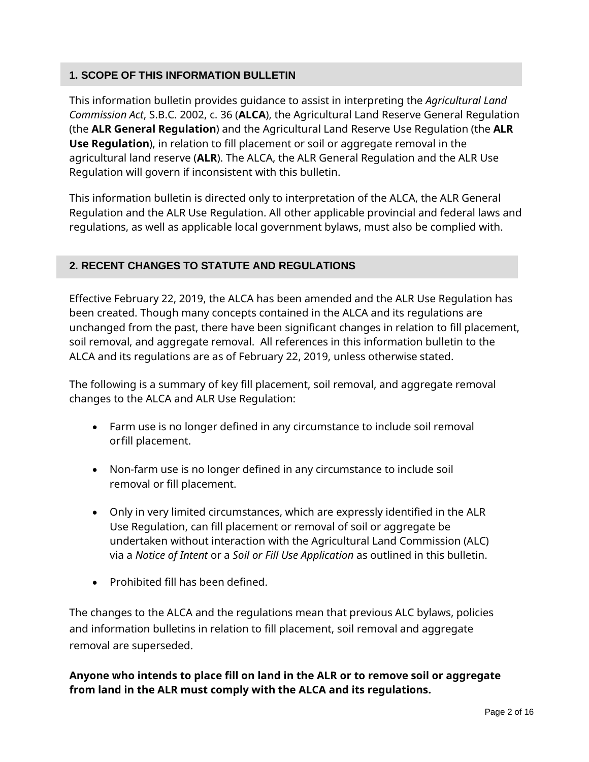# <span id="page-1-0"></span>**1. SCOPE OF THIS INFORMATION BULLETIN**

This information bulletin provides guidance to assist in interpreting the *Agricultural Land Commission Act*, S.B.C. 2002, c. 36 (**ALCA**), the Agricultural Land Reserve General Regulation (the **ALR General Regulation**) and the Agricultural Land Reserve Use Regulation (the **ALR Use Regulation**), in relation to fill placement or soil or aggregate removal in the agricultural land reserve (**ALR**). The ALCA, the ALR General Regulation and the ALR Use Regulation will govern if inconsistent with this bulletin.

This information bulletin is directed only to interpretation of the ALCA, the ALR General Regulation and the ALR Use Regulation. All other applicable provincial and federal laws and regulations, as well as applicable local government bylaws, must also be complied with.

# <span id="page-1-1"></span>**2. RECENT CHANGES TO STATUTE AND REGULATIONS**

Effective February 22, 2019, the ALCA has been amended and the ALR Use Regulation has been created. Though many concepts contained in the ALCA and its regulations are unchanged from the past, there have been significant changes in relation to fill placement, soil removal, and aggregate removal. All references in this information bulletin to the ALCA and its regulations are as of February 22, 2019, unless otherwise stated.

The following is a summary of key fill placement, soil removal, and aggregate removal changes to the ALCA and ALR Use Regulation:

- Farm use is no longer defined in any circumstance to include soil removal orfill placement.
- Non-farm use is no longer defined in any circumstance to include soil removal or fill placement.
- Only in very limited circumstances, which are expressly identified in the ALR Use Regulation, can fill placement or removal of soil or aggregate be undertaken without interaction with the Agricultural Land Commission (ALC) via a *Notice of Intent* or a *Soil or Fill Use Application* as outlined in this bulletin.
- Prohibited fill has been defined.

The changes to the ALCA and the regulations mean that previous ALC bylaws, policies and information bulletins in relation to fill placement, soil removal and aggregate removal are superseded.

**Anyone who intends to place fill on land in the ALR or to remove soil or aggregate from land in the ALR must comply with the ALCA and its regulations.**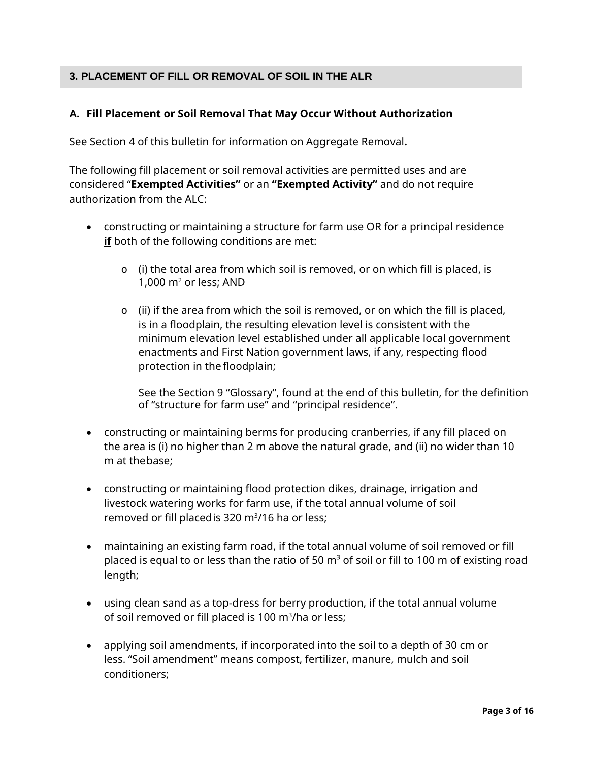# <span id="page-2-0"></span>**3. PLACEMENT OF FILL OR REMOVAL OF SOIL IN THE ALR**

## <span id="page-2-1"></span>**A. Fill Placement or Soil Removal That May Occur Without Authorization**

See Section 4 of this bulletin for information on Aggregate Removal**.**

The following fill placement or soil removal activities are permitted uses and are considered "**Exempted Activities"** or an **"Exempted Activity"** and do not require authorization from the ALC:

- constructing or maintaining a structure for farm use OR for a principal residence **if** both of the following conditions are met:
	- o (i) the total area from which soil is removed, or on which fill is placed, is 1,000  $m<sup>2</sup>$  or less; AND
	- $\circ$  (ii) if the area from which the soil is removed, or on which the fill is placed, is in a floodplain, the resulting elevation level is consistent with the minimum elevation level established under all applicable local government enactments and First Nation government laws, if any, respecting flood protection in the floodplain;

See the Section 9 "Glossary", found at the end of this bulletin, for the definition of "structure for farm use" and "principal residence".

- constructing or maintaining berms for producing cranberries, if any fill placed on the area is (i) no higher than 2 m above the natural grade, and (ii) no wider than 10 m at thebase;
- constructing or maintaining flood protection dikes, drainage, irrigation and livestock watering works for farm use, if the total annual volume of soil removed or fill placedis 320 m3 /16 ha or less;
- maintaining an existing farm road, if the total annual volume of soil removed or fill placed is equal to or less than the ratio of 50  $m<sup>3</sup>$  of soil or fill to 100 m of existing road length;
- using clean sand as a top-dress for berry production, if the total annual volume of soil removed or fill placed is 100 m<sup>3</sup>/ha or less;
- applying soil amendments, if incorporated into the soil to a depth of 30 cm or less. "Soil amendment" means compost, fertilizer, manure, mulch and soil conditioners;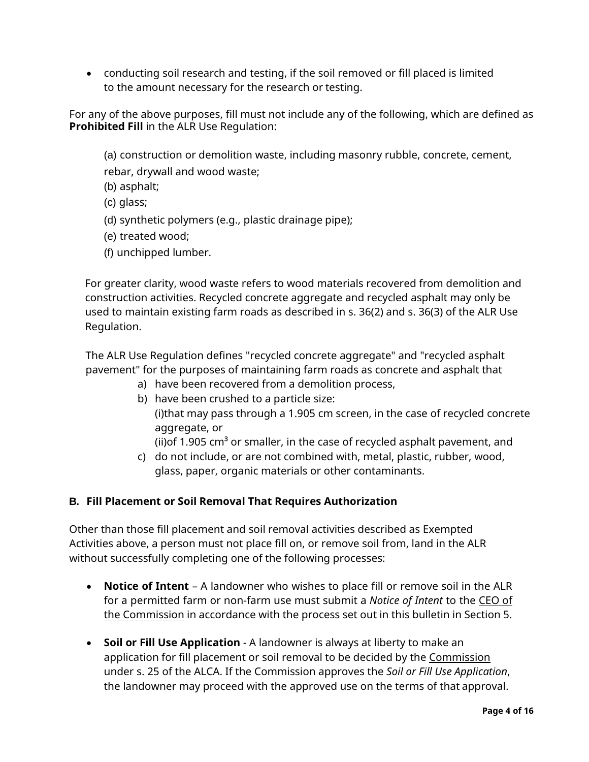• conducting soil research and testing, if the soil removed or fill placed is limited to the amount necessary for the research or testing.

For any of the above purposes, fill must not include any of the following, which are defined as **Prohibited Fill** in the ALR Use Regulation:

(a) construction or demolition waste, including masonry rubble, concrete, cement,

rebar, drywall and wood waste;

- (b) asphalt;
- (c) glass;
- (d) synthetic polymers (e.g., plastic drainage pipe);
- (e) treated wood;
- (f) unchipped lumber.

For greater clarity, wood waste refers to wood materials recovered from demolition and construction activities. Recycled concrete aggregate and recycled asphalt may only be used to maintain existing farm roads as described in s. 36(2) and s. 36(3) of the ALR Use Regulation.

The ALR Use Regulation defines "recycled concrete aggregate" and "recycled asphalt pavement" for the purposes of maintaining farm roads as concrete and asphalt that

- a) have been recovered from a demolition process,
- b) have been crushed to a particle size: (i)that may pass through a 1.905 cm screen, in the case of recycled concrete aggregate, or
	- (ii) of 1.905 cm<sup>3</sup> or smaller, in the case of recycled asphalt pavement, and
- c) do not include, or are not combined with, metal, plastic, rubber, wood, glass, paper, organic materials or other contaminants.

## <span id="page-3-0"></span>**B. Fill Placement or Soil Removal That Requires Authorization**

Other than those fill placement and soil removal activities described as Exempted Activities above, a person must not place fill on, or remove soil from, land in the ALR without successfully completing one of the following processes:

- **Notice of Intent**  A landowner who wishes to place fill or remove soil in the ALR for a permitted farm or non-farm use must submit a *Notice of Intent* to the CEO of the Commission in accordance with the process set out in this bulletin in Section 5.
- **Soil or Fill Use Application**  A landowner is always at liberty to make an application for fill placement or soil removal to be decided by the Commission under s. 25 of the ALCA. If the Commission approves the *Soil or Fill Use Application*, the landowner may proceed with the approved use on the terms of that approval.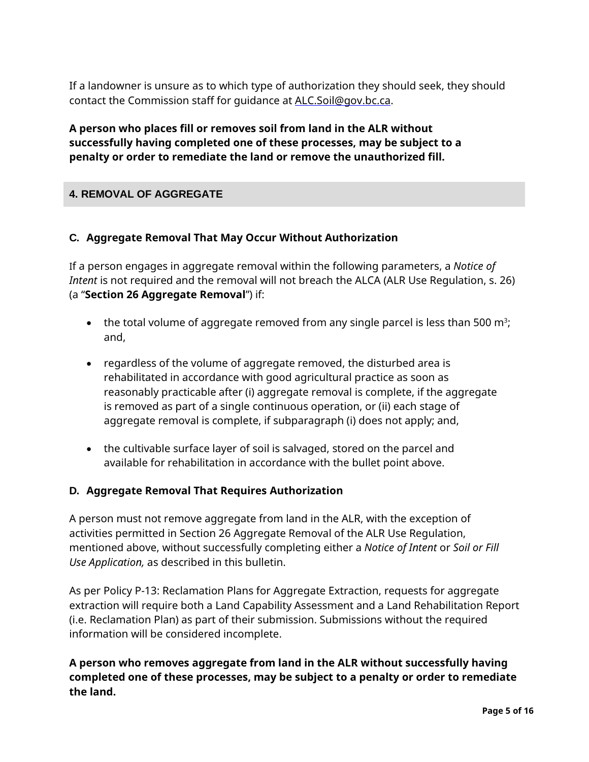If a landowner is unsure as to which type of authorization they should seek, they should contact the Commission staff for guidance at [ALC.Soil@gov.bc.ca.](file://SFP.IDIR.BCGOV/U104/KGLAVAS$/Profile/Desktop/ALC.Soil@gov.bc.ca)

**A person who places fill or removes soil from land in the ALR without successfully having completed one of these processes, may be subject to a penalty or order to remediate the land or remove the unauthorized fill.**

# <span id="page-4-1"></span><span id="page-4-0"></span>**4. REMOVAL OF AGGREGATE**

## **C. Aggregate Removal That May Occur Without Authorization**

If a person engages in aggregate removal within the following parameters, a *Notice of Intent* is not required and the removal will not breach the ALCA (ALR Use Regulation, s. 26) (a "**Section 26 Aggregate Removal**") if:

- $\bullet$  the total volume of aggregate removed from any single parcel is less than 500 m $^3\!$ ; and,
- regardless of the volume of aggregate removed, the disturbed area is rehabilitated in accordance with good agricultural practice as soon as reasonably practicable after (i) aggregate removal is complete, if the aggregate is removed as part of a single continuous operation, or (ii) each stage of aggregate removal is complete, if subparagraph (i) does not apply; and,
- the cultivable surface layer of soil is salvaged, stored on the parcel and available for rehabilitation in accordance with the bullet point above.

## <span id="page-4-2"></span>**D. Aggregate Removal That Requires Authorization**

A person must not remove aggregate from land in the ALR, with the exception of activities permitted in Section 26 Aggregate Removal of the ALR Use Regulation, mentioned above, without successfully completing either a *Notice of Intent* or *Soil or Fill Use Application,* as described in this bulletin.

As per Policy P-13: Reclamation Plans for Aggregate Extraction, requests for aggregate extraction will require both a Land Capability Assessment and a Land Rehabilitation Report (i.e. Reclamation Plan) as part of their submission. Submissions without the required information will be considered incomplete.

# **A person who removes aggregate from land in the ALR without successfully having completed one of these processes, may be subject to a penalty or order to remediate the land.**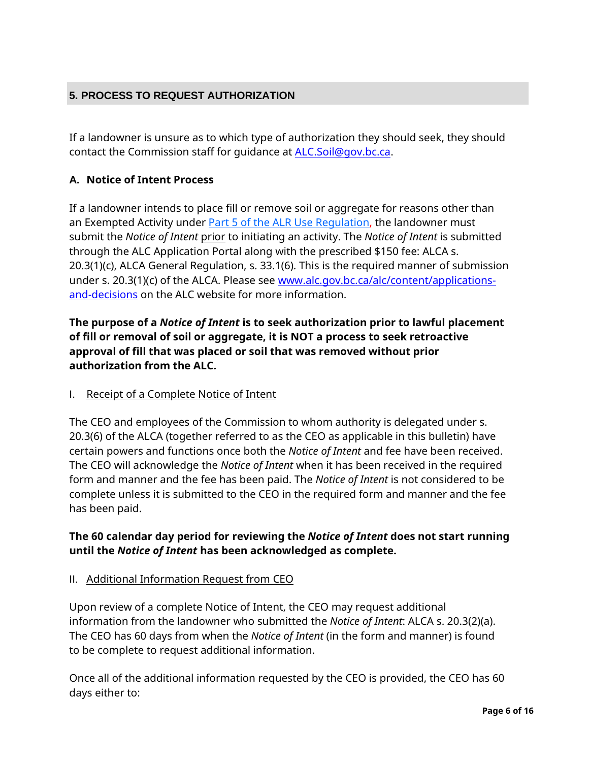# <span id="page-5-0"></span>**5. PROCESS TO REQUEST AUTHORIZATION**

If a landowner is unsure as to which type of authorization they should seek, they should contact the Commission staff for guidance at [ALC.Soil@gov.bc.ca.](file://SFP.IDIR.BCGOV/U104/KGLAVAS$/Profile/Desktop/ALC.Soil@gov.bc.ca)

# <span id="page-5-1"></span>**A. Notice of Intent Process**

If a landowner intends to place fill or remove soil or aggregate for reasons other than an Exempted Activity under [Part 5 of the ALR Use Regulation,](https://www.bclaws.gov.bc.ca/civix/document/id/complete/statreg/30_2019#part5) the landowner must submit the *Notice of Intent* prior to initiating an activity. The *Notice of Intent* is submitted through the ALC Application Portal along with the prescribed \$150 fee: ALCA s. 20.3(1)(c), ALCA General Regulation, s. 33.1(6). This is the required manner of submission under s. 20.3(1)(c) of the ALCA. Please see [www.alc.gov.bc.ca/alc/content/applications](https://www.alc.gov.bc.ca/alc/content/applications-and-decisions)[and-decisions](https://www.alc.gov.bc.ca/alc/content/applications-and-decisions) on the ALC website for more information.

**The purpose of a** *Notice of Intent* **is to seek authorization prior to lawful placement of fill or removal of soil or aggregate, it is NOT a process to seek retroactive approval of fill that was placed or soil that was removed without prior authorization from the ALC.**

## I. Receipt of a Complete Notice of Intent

The CEO and employees of the Commission to whom authority is delegated under s. 20.3(6) of the ALCA (together referred to as the CEO as applicable in this bulletin) have certain powers and functions once both the *Notice of Intent* and fee have been received. The CEO will acknowledge the *Notice of Intent* when it has been received in the required form and manner and the fee has been paid. The *Notice of Intent* is not considered to be complete unless it is submitted to the CEO in the required form and manner and the fee has been paid.

# **The 60 calendar day period for reviewing the** *Notice of Intent* **does not start running until the** *Notice of Intent* **has been acknowledged as complete.**

## II. Additional Information Request from CEO

Upon review of a complete Notice of Intent, the CEO may request additional information from the landowner who submitted the *Notice of Intent*: ALCA s. 20.3(2)(a). The CEO has 60 days from when the *Notice of Intent* (in the form and manner) is found to be complete to request additional information.

Once all of the additional information requested by the CEO is provided, the CEO has 60 days either to: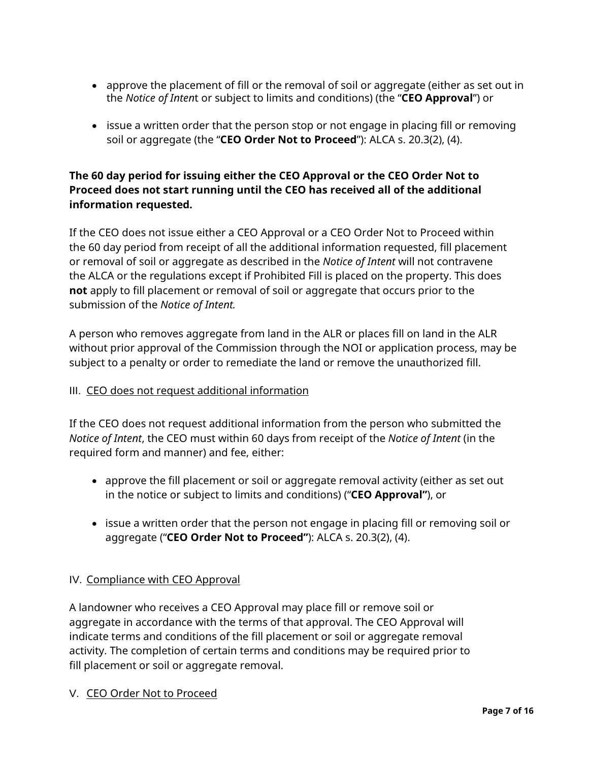- approve the placement of fill or the removal of soil or aggregate (either as set out in the *Notice of Inten*t or subject to limits and conditions) (the "**CEO Approval**") or
- issue a written order that the person stop or not engage in placing fill or removing soil or aggregate (the "**CEO Order Not to Proceed**"): ALCA s. 20.3(2), (4).

# **The 60 day period for issuing either the CEO Approval or the CEO Order Not to Proceed does not start running until the CEO has received all of the additional information requested.**

If the CEO does not issue either a CEO Approval or a CEO Order Not to Proceed within the 60 day period from receipt of all the additional information requested, fill placement or removal of soil or aggregate as described in the *Notice of Intent* will not contravene the ALCA or the regulations except if Prohibited Fill is placed on the property. This does **not** apply to fill placement or removal of soil or aggregate that occurs prior to the submission of the *Notice of Intent.*

A person who removes aggregate from land in the ALR or places fill on land in the ALR without prior approval of the Commission through the NOI or application process, may be subject to a penalty or order to remediate the land or remove the unauthorized fill.

## III. CEO does not request additional information

If the CEO does not request additional information from the person who submitted the *Notice of Intent*, the CEO must within 60 days from receipt of the *Notice of Intent* (in the required form and manner) and fee, either:

- approve the fill placement or soil or aggregate removal activity (either as set out in the notice or subject to limits and conditions) ("**CEO Approval"**), or
- issue a written order that the person not engage in placing fill or removing soil or aggregate ("**CEO Order Not to Proceed"**): ALCA s. 20.3(2), (4).

# IV. Compliance with CEO Approval

A landowner who receives a CEO Approval may place fill or remove soil or aggregate in accordance with the terms of that approval. The CEO Approval will indicate terms and conditions of the fill placement or soil or aggregate removal activity. The completion of certain terms and conditions may be required prior to fill placement or soil or aggregate removal.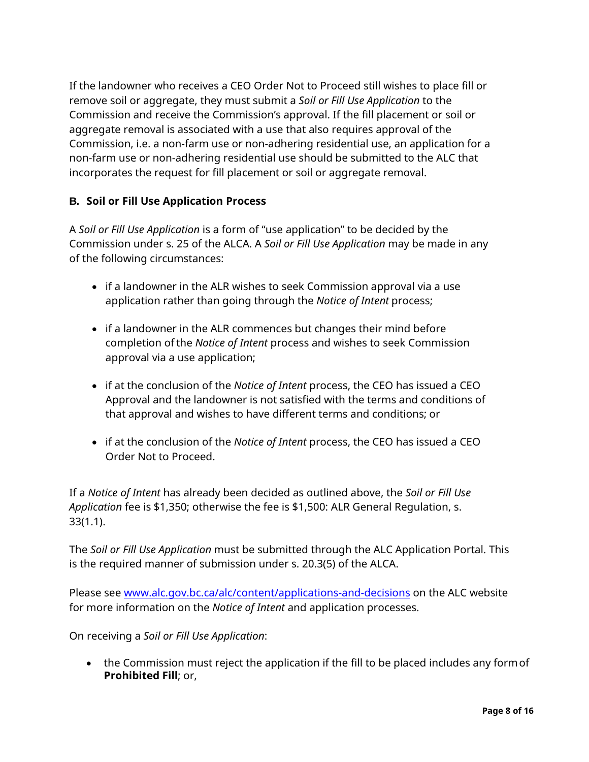If the landowner who receives a CEO Order Not to Proceed still wishes to place fill or remove soil or aggregate, they must submit a *Soil or Fill Use Application* to the Commission and receive the Commission's approval. If the fill placement or soil or aggregate removal is associated with a use that also requires approval of the Commission, i.e. a non-farm use or non-adhering residential use, an application for a non-farm use or non-adhering residential use should be submitted to the ALC that incorporates the request for fill placement or soil or aggregate removal.

# <span id="page-7-0"></span>**B. Soil or Fill Use Application Process**

A *Soil or Fill Use Application* is a form of "use application" to be decided by the Commission under s. 25 of the ALCA. A *Soil or Fill Use Application* may be made in any of the following circumstances:

- if a landowner in the ALR wishes to seek Commission approval via a use application rather than going through the *Notice of Intent* process;
- if a landowner in the ALR commences but changes their mind before completion ofthe *Notice of Intent* process and wishes to seek Commission approval via a use application;
- if at the conclusion of the *Notice of Intent* process, the CEO has issued a CEO Approval and the landowner is not satisfied with the terms and conditions of that approval and wishes to have different terms and conditions; or
- if at the conclusion of the *Notice of Intent* process, the CEO has issued a CEO Order Not to Proceed.

If a *Notice of Intent* has already been decided as outlined above, the *Soil or Fill Use Application* fee is \$1,350; otherwise the fee is \$1,500: ALR General Regulation, s. 33(1.1).

The *Soil or Fill Use Application* must be submitted through the ALC Application Portal. This is the required manner of submission under s. 20.3(5) of the ALCA.

Please see [www.alc.gov.bc.ca/alc/content/applications-and-decisions](https://www.alc.gov.bc.ca/alc/content/applications-and-decisions) on the ALC website for more information on the *Notice of Intent* and application processes.

On receiving a *Soil or Fill Use Application*:

• the Commission must reject the application if the fill to be placed includes any form of **Prohibited Fill**; or,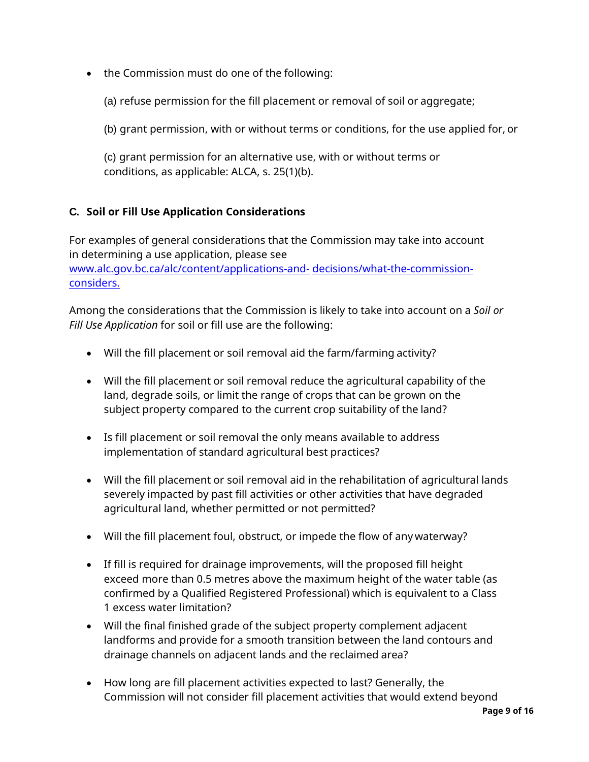- the Commission must do one of the following:
	- (a) refuse permission for the fill placement or removal of soil or aggregate;
	- (b) grant permission, with or without terms or conditions, for the use applied for, or
	- (c) grant permission for an alternative use, with or without terms or conditions, as applicable: ALCA, s. 25(1)(b).

# <span id="page-8-0"></span>**C. Soil or Fill Use Application Considerations**

For examples of general considerations that the Commission may take into account in determining a use application, please see [www.alc.gov.bc.ca/alc/content/applications-and-](http://www.alc.gov.bc.ca/alc/content/applications-and-decisions/what-the-commission-considers) [decisions/what-the-commission](http://www.alc.gov.bc.ca/alc/content/applications-and-decisions/what-the-commission-considers)[considers.](http://www.alc.gov.bc.ca/alc/content/applications-and-decisions/what-the-commission-considers)

Among the considerations that the Commission is likely to take into account on a *Soil or Fill Use Application* for soil or fill use are the following:

- Will the fill placement or soil removal aid the farm/farming activity?
- Will the fill placement or soil removal reduce the agricultural capability of the land, degrade soils, or limit the range of crops that can be grown on the subject property compared to the current crop suitability of the land?
- Is fill placement or soil removal the only means available to address implementation of standard agricultural best practices?
- Will the fill placement or soil removal aid in the rehabilitation of agricultural lands severely impacted by past fill activities or other activities that have degraded agricultural land, whether permitted or not permitted?
- Will the fill placement foul, obstruct, or impede the flow of any waterway?
- If fill is required for drainage improvements, will the proposed fill height exceed more than 0.5 metres above the maximum height of the water table (as confirmed by a Qualified Registered Professional) which is equivalent to a Class 1 excess water limitation?
- Will the final finished grade of the subject property complement adjacent landforms and provide for a smooth transition between the land contours and drainage channels on adjacent lands and the reclaimed area?
- How long are fill placement activities expected to last? Generally, the Commission will not consider fill placement activities that would extend beyond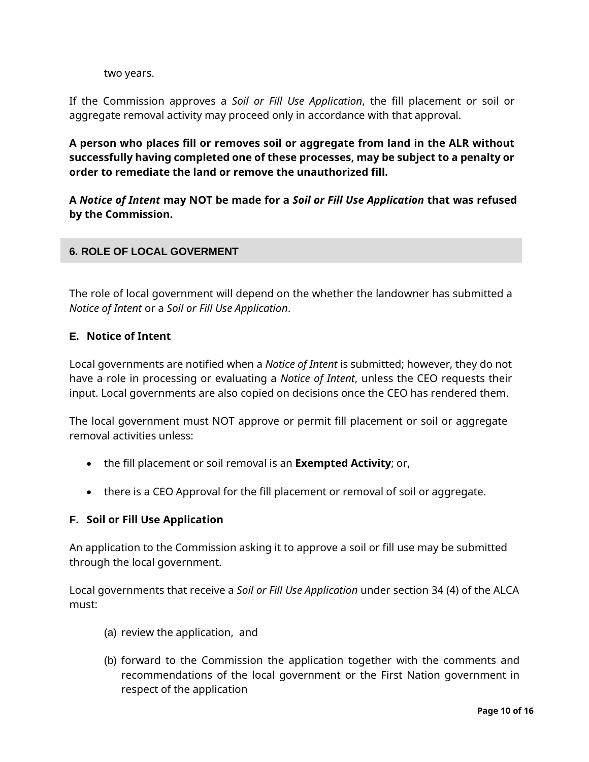two years.

If the Commission approves a *Soil or Fill Use Application*, the fill placement or soil or aggregate removal activity may proceed only in accordance with that approval.

**A person who places fill or removes soil or aggregate from land in the ALR without successfully having completed one of these processes, may be subject to a penalty or order to remediate the land or remove the unauthorized fill.**

**A** *Notice of Intent* **may NOT be made for a** *Soil or Fill Use Application* **that was refused by the Commission.**

### <span id="page-9-0"></span>**6. ROLE OF LOCAL GOVERMENT**

The role of local government will depend on the whether the landowner has submitted a *Notice of Intent* or a *Soil or Fill Use Application*.

#### <span id="page-9-1"></span>**E. Notice of Intent**

Local governments are notified when a *Notice of Intent* is submitted; however, they do not have a role in processing or evaluating a *Notice of Intent*, unless the CEO requests their input. Local governments are also copied on decisions once the CEO has rendered them.

The local government must NOT approve or permit fill placement or soil or aggregate removal activities unless:

- the fill placement or soil removal is an **Exempted Activity**; or,
- there is a CEO Approval for the fill placement or removal of soil or aggregate.

#### <span id="page-9-2"></span>**F. Soil or Fill Use Application**

An application to the Commission asking it to approve a soil or fill use may be submitted through the local government.

Local governments that receive a *Soil or Fill Use Application* under section 34 (4) of the ALCA must:

- (a) review the application, and
- (b) forward to the Commission the application together with the comments and recommendations of the local government or the First Nation government in respect of the application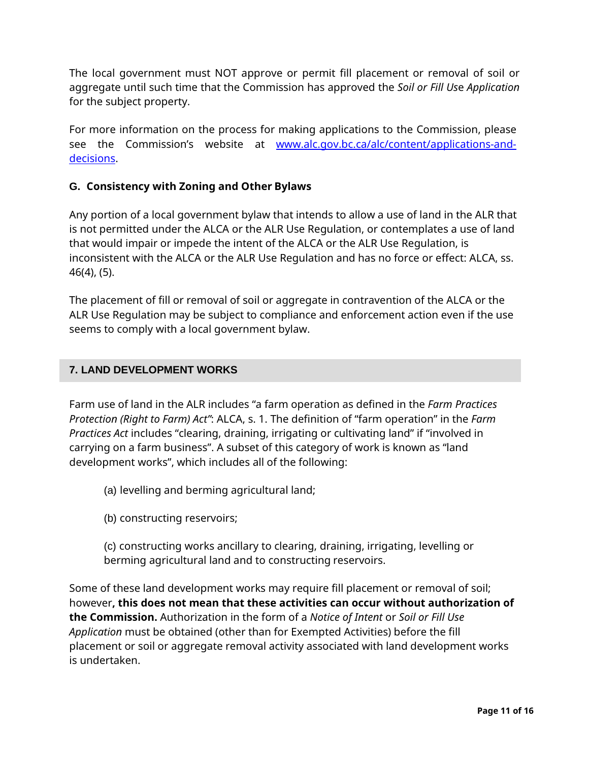The local government must NOT approve or permit fill placement or removal of soil or aggregate until such time that the Commission has approved the *Soil or Fill Us*e *Application*  for the subject property.

<span id="page-10-0"></span>For more information on the process for making applications to the Commission, please see the Commission's website at [www.alc.gov.bc.ca/alc/content/applications-and](http://www.alc.gov.bc.ca/alc/content/applications-and-decisions)[decisions.](http://www.alc.gov.bc.ca/alc/content/applications-and-decisions)

## **G. Consistency with Zoning and Other Bylaws**

Any portion of a local government bylaw that intends to allow a use of land in the ALR that is not permitted under the ALCA or the ALR Use Regulation, or contemplates a use of land that would impair or impede the intent of the ALCA or the ALR Use Regulation, is inconsistent with the ALCA or the ALR Use Regulation and has no force or effect: ALCA, ss. 46(4), (5).

The placement of fill or removal of soil or aggregate in contravention of the ALCA or the ALR Use Regulation may be subject to compliance and enforcement action even if the use seems to comply with a local government bylaw.

### <span id="page-10-1"></span>**7. LAND DEVELOPMENT WORKS**

Farm use of land in the ALR includes "a farm operation as defined in the *Farm Practices Protection (Right to Farm) Act"*: ALCA, s. 1. The definition of "farm operation" in the *Farm Practices Act* includes "clearing, draining, irrigating or cultivating land" if "involved in carrying on a farm business". A subset of this category of work is known as "land development works", which includes all of the following:

- (a) levelling and berming agricultural land;
- (b) constructing reservoirs;

(c) constructing works ancillary to clearing, draining, irrigating, levelling or berming agricultural land and to constructing reservoirs.

Some of these land development works may require fill placement or removal of soil; however**, this does not mean that these activities can occur without authorization of the Commission.** Authorization in the form of a *Notice of Intent* or *Soil or Fill Use Application* must be obtained (other than for Exempted Activities) before the fill placement or soil or aggregate removal activity associated with land development works is undertaken.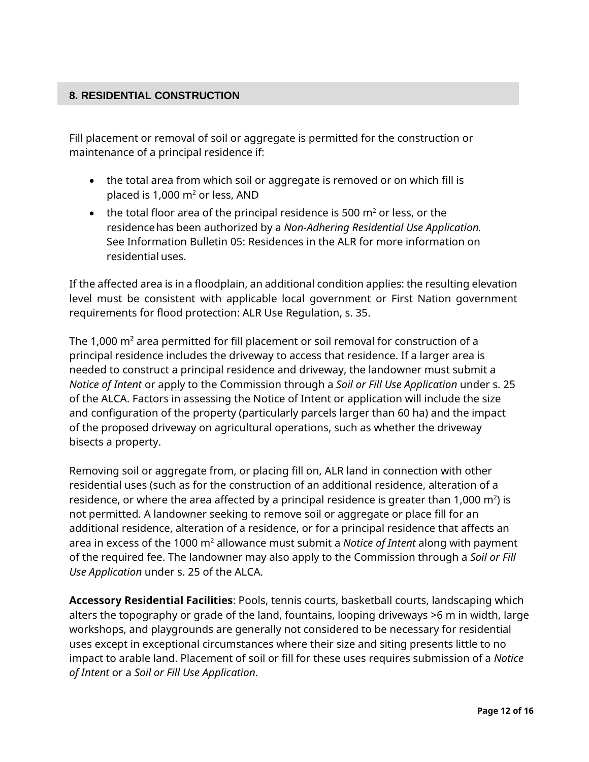## <span id="page-11-0"></span>**8. RESIDENTIAL CONSTRUCTION**

Fill placement or removal of soil or aggregate is permitted for the construction or maintenance of a principal residence if:

- the total area from which soil or aggregate is removed or on which fill is placed is 1,000  $m<sup>2</sup>$  or less, AND
- the total floor area of the principal residence is 500  $m<sup>2</sup>$  or less, or the residencehas been authorized by a *Non-Adhering Residential Use Application.*  See Information Bulletin 05: Residences in the ALR for more information on residential uses.

If the affected area is in a floodplain, an additional condition applies: the resulting elevation level must be consistent with applicable local government or First Nation government requirements for flood protection: ALR Use Regulation, s. 35.

The 1,000 m² area permitted for fill placement or soil removal for construction of a principal residence includes the driveway to access that residence. If a larger area is needed to construct a principal residence and driveway, the landowner must submit a *Notice of Intent* or apply to the Commission through a *Soil or Fill Use Application* under s. 25 of the ALCA. Factors in assessing the Notice of Intent or application will include the size and configuration of the property (particularly parcels larger than 60 ha) and the impact of the proposed driveway on agricultural operations, such as whether the driveway bisects a property.

Removing soil or aggregate from, or placing fill on, ALR land in connection with other residential uses (such as for the construction of an additional residence, alteration of a residence, or where the area affected by a principal residence is greater than 1,000  $\text{m}^2$ ) is not permitted. A landowner seeking to remove soil or aggregate or place fill for an additional residence, alteration of a residence, or for a principal residence that affects an area in excess of the 1000 m2 allowance must submit a *Notice of Intent* along with payment of the required fee. The landowner may also apply to the Commission through a *Soil or Fill Use Application* under s. 25 of the ALCA.

**Accessory Residential Facilities**: Pools, tennis courts, basketball courts, landscaping which alters the topography or grade of the land, fountains, looping driveways >6 m in width, large workshops, and playgrounds are generally not considered to be necessary for residential uses except in exceptional circumstances where their size and siting presents little to no impact to arable land. Placement of soil or fill for these uses requires submission of a *Notice of Intent* or a *Soil or Fill Use Application*.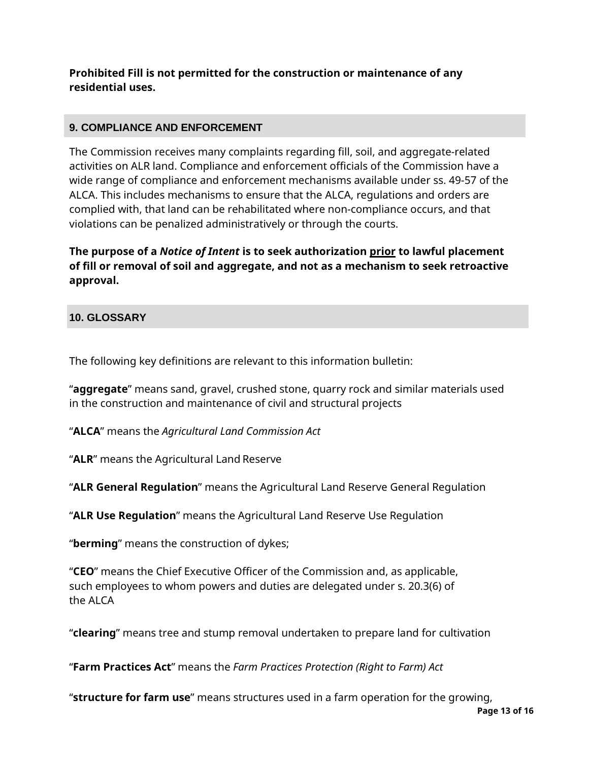# **Prohibited Fill is not permitted for the construction or maintenance of any residential uses.**

## <span id="page-12-0"></span>**9. COMPLIANCE AND ENFORCEMENT**

The Commission receives many complaints regarding fill, soil, and aggregate-related activities on ALR land. Compliance and enforcement officials of the Commission have a wide range of compliance and enforcement mechanisms available under ss. 49-57 of the ALCA. This includes mechanisms to ensure that the ALCA, regulations and orders are complied with, that land can be rehabilitated where non-compliance occurs, and that violations can be penalized administratively or through the courts.

**The purpose of a** *Notice of Intent* **is to seek authorization prior to lawful placement of fill or removal of soil and aggregate, and not as a mechanism to seek retroactive approval.**

### <span id="page-12-1"></span>**10. GLOSSARY**

The following key definitions are relevant to this information bulletin:

"**aggregate**" means sand, gravel, crushed stone, quarry rock and similar materials used in the construction and maintenance of civil and structural projects

"**ALCA**" means the *Agricultural Land Commission Act*

"**ALR**" means the Agricultural Land Reserve

"**ALR General Regulation**" means the Agricultural Land Reserve General Regulation

"**ALR Use Regulation**" means the Agricultural Land Reserve Use Regulation

"**berming**" means the construction of dykes;

"**CEO**" means the Chief Executive Officer of the Commission and, as applicable, such employees to whom powers and duties are delegated under s. 20.3(6) of the ALCA

"**clearing**" means tree and stump removal undertaken to prepare land for cultivation

"**Farm Practices Act**" means the *Farm Practices Protection (Right to Farm) Act*

"**structure for farm use**" means structures used in a farm operation for the growing,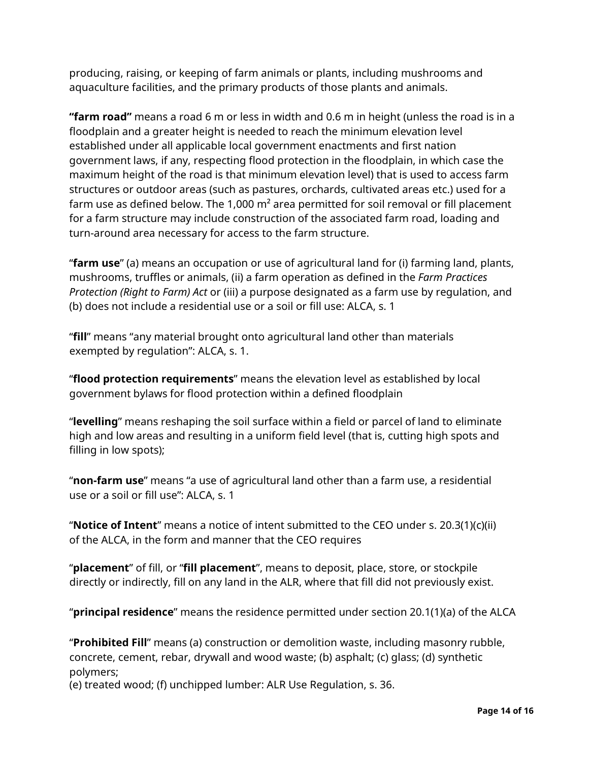producing, raising, or keeping of farm animals or plants, including mushrooms and aquaculture facilities, and the primary products of those plants and animals.

**"farm road"** means a road 6 m or less in width and 0.6 m in height (unless the road is in a floodplain and a greater height is needed to reach the minimum elevation level established under all applicable local government enactments and first nation government laws, if any, respecting flood protection in the floodplain, in which case the maximum height of the road is that minimum elevation level) that is used to access farm structures or outdoor areas (such as pastures, orchards, cultivated areas etc.) used for a farm use as defined below. The 1,000  $m<sup>2</sup>$  area permitted for soil removal or fill placement for a farm structure may include construction of the associated farm road, loading and turn-around area necessary for access to the farm structure.

"**farm use**" (a) means an occupation or use of agricultural land for (i) farming land, plants, mushrooms, truffles or animals, (ii) a farm operation as defined in the *Farm Practices Protection (Right to Farm) Act* or (iii) a purpose designated as a farm use by regulation, and (b) does not include a residential use or a soil or fill use: ALCA, s. 1

"**fill**" means "any material brought onto agricultural land other than materials exempted by regulation": ALCA, s. 1.

"**flood protection requirements**" means the elevation level as established by local government bylaws for flood protection within a defined floodplain

"**levelling**" means reshaping the soil surface within a field or parcel of land to eliminate high and low areas and resulting in a uniform field level (that is, cutting high spots and filling in low spots);

"**non-farm use**" means "a use of agricultural land other than a farm use, a residential use or a soil or fill use": ALCA, s. 1

"**Notice of Intent**" means a notice of intent submitted to the CEO under s. 20.3(1)(c)(ii) of the ALCA, in the form and manner that the CEO requires

"**placement**" of fill, or "**fill placement**", means to deposit, place, store, or stockpile directly or indirectly, fill on any land in the ALR, where that fill did not previously exist.

"**principal residence**" means the residence permitted under section 20.1(1)(a) of the ALCA

"**Prohibited Fill**" means (a) construction or demolition waste, including masonry rubble, concrete, cement, rebar, drywall and wood waste; (b) asphalt; (c) glass; (d) synthetic polymers;

(e) treated wood; (f) unchipped lumber: ALR Use Regulation, s. 36.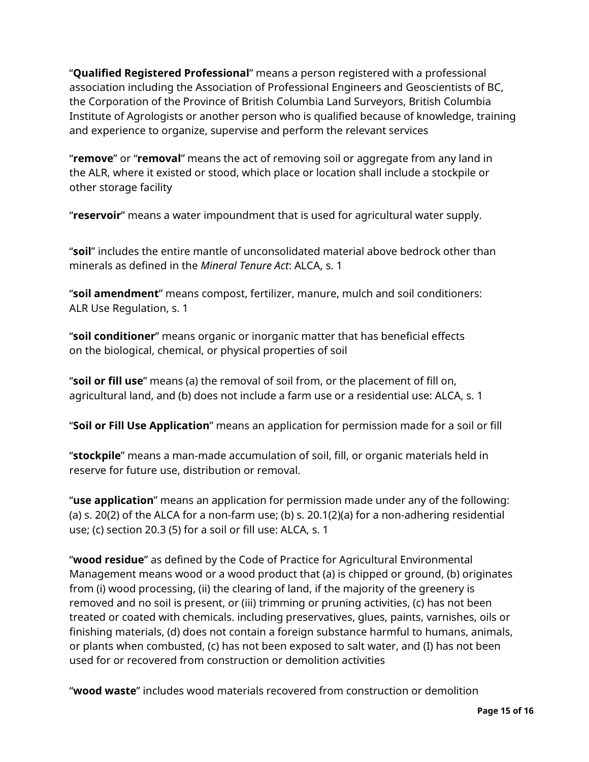"**Qualified Registered Professional**" means a person registered with a professional association including the Association of Professional Engineers and Geoscientists of BC, the Corporation of the Province of British Columbia Land Surveyors, British Columbia Institute of Agrologists or another person who is qualified because of knowledge, training and experience to organize, supervise and perform the relevant services

"**remove**" or "**removal**" means the act of removing soil or aggregate from any land in the ALR, where it existed or stood, which place or location shall include a stockpile or other storage facility

"**reservoir**" means a water impoundment that is used for agricultural water supply.

"**soil**" includes the entire mantle of unconsolidated material above bedrock other than minerals as defined in the *Mineral Tenure Act*: ALCA, s. 1

"**soil amendment**" means compost, fertilizer, manure, mulch and soil conditioners: ALR Use Regulation, s. 1

"**soil conditioner**" means organic or inorganic matter that has beneficial effects on the biological, chemical, or physical properties of soil

"**soil or fill use**" means (a) the removal of soil from, or the placement of fill on, agricultural land, and (b) does not include a farm use or a residential use: ALCA, s. 1

"**Soil or Fill Use Application**" means an application for permission made for a soil or fill

"**stockpile**" means a man-made accumulation of soil, fill, or organic materials held in reserve for future use, distribution or removal.

"**use application**" means an application for permission made under any of the following: (a) s. 20(2) of the ALCA for a non-farm use; (b) s. 20.1(2)(a) for a non-adhering residential use; (c) section 20.3 (5) for a soil or fill use: ALCA, s. 1

"**wood residue**" as defined by the Code of Practice for Agricultural Environmental Management means wood or a wood product that (a) is chipped or ground, (b) originates from (i) wood processing, (ii) the clearing of land, if the majority of the greenery is removed and no soil is present, or (iii) trimming or pruning activities, (c) has not been treated or coated with chemicals. including preservatives, glues, paints, varnishes, oils or finishing materials, (d) does not contain a foreign substance harmful to humans, animals, or plants when combusted, (c) has not been exposed to salt water, and (I) has not been used for or recovered from construction or demolition activities

"**wood waste**" includes wood materials recovered from construction or demolition